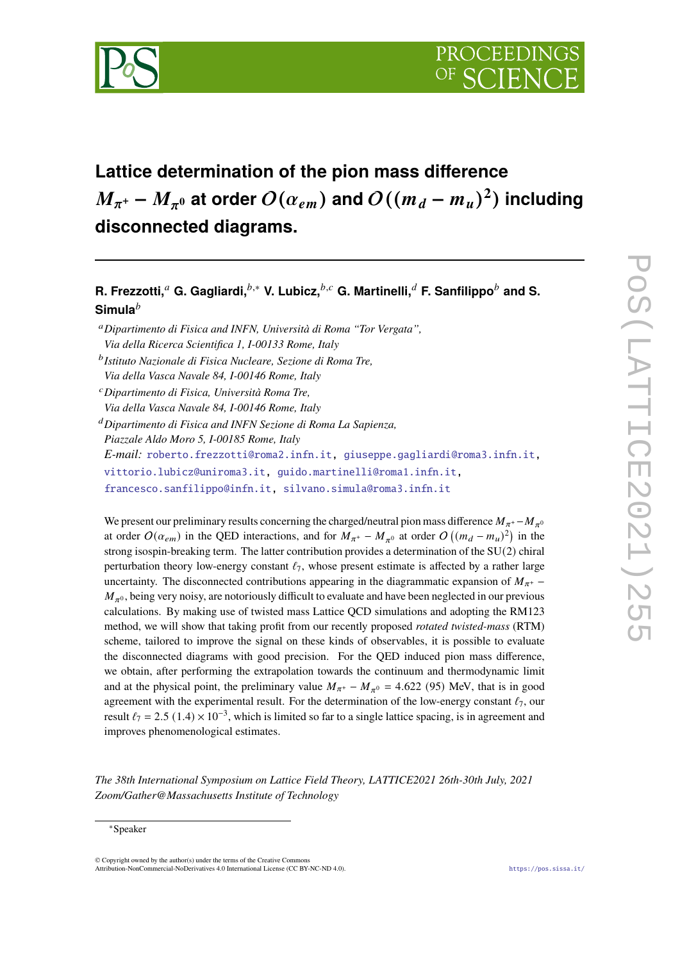

# **Lattice determination of the pion mass difference**  $M_{\pi^+}$  –  $M_{\pi^0}$  at order  $O(\alpha_{em})$  and  $O((m_d - m_u)^2)$  including **disconnected diagrams.**

**R. Frezzotti,** a G. Gagliardi,  $b^*$ , V. Lubicz,  $b^*$ , G. Martinelli, a F. Sanfilippo $b^*$  and S. **Simula**

We present our preliminary results concerning the charged/neutral pion mass difference  $M_{\pi^+} - M_{\pi^0}$ at order  $O(\alpha_{em})$  in the QED interactions, and for  $M_{\pi^+} - M_{\pi^0}$  at order  $O((m_d - m_u)^2)$  in the strong isospin-breaking term. The latter contribution provides a determination of the SU(2) chiral perturbation theory low-energy constant  $\ell_7$ , whose present estimate is affected by a rather large uncertainty. The disconnected contributions appearing in the diagrammatic expansion of  $M_{\pi^+}$  –  $M_{\pi^0}$ , being very noisy, are notoriously difficult to evaluate and have been neglected in our previous calculations. By making use of twisted mass Lattice QCD simulations and adopting the RM123 method, we will show that taking profit from our recently proposed *rotated twisted-mass* (RTM) scheme, tailored to improve the signal on these kinds of observables, it is possible to evaluate the disconnected diagrams with good precision. For the QED induced pion mass difference, we obtain, after performing the extrapolation towards the continuum and thermodynamic limit and at the physical point, the preliminary value  $M_{\pi^+} - M_{\pi^0} = 4.622$  (95) MeV, that is in good agreement with the experimental result. For the determination of the low-energy constant  $\ell_7$ , our result  $\ell_7 = 2.5$  (1.4) × 10<sup>-3</sup>, which is limited so far to a single lattice spacing, is in agreement and improves phenomenological estimates.

*The 38th International Symposium on Lattice Field Theory, LATTICE2021 26th-30th July, 2021 Zoom/Gather@Massachusetts Institute of Technology*

 $\odot$  Copyright owned by the author(s) under the terms of the Creative Common Attribution-NonCommercial-NoDerivatives 4.0 International License (CC BY-NC-ND 4.0). <https://pos.sissa.it/>

*Dipartimento di Fisica and INFN, Università di Roma "Tor Vergata", Via della Ricerca Scientifica 1, I-00133 Rome, Italy Istituto Nazionale di Fisica Nucleare, Sezione di Roma Tre, Via della Vasca Navale 84, I-00146 Rome, Italy Dipartimento di Fisica, Università Roma Tre, Via della Vasca Navale 84, I-00146 Rome, Italy Dipartimento di Fisica and INFN Sezione di Roma La Sapienza, Piazzale Aldo Moro 5, I-00185 Rome, Italy E-mail:* [roberto.frezzotti@roma2.infn.it,](mailto:roberto.frezzotti@roma2.infn.it) [giuseppe.gagliardi@roma3.infn.it,](mailto:giuseppe.gagliardi@roma3.infn.it) [vittorio.lubicz@uniroma3.it,](mailto:vittorio.lubicz@uniroma3.it) [guido.martinelli@roma1.infn.it,](mailto:guido.martinelli@roma1.infn.it) [francesco.sanfilippo@infn.it,](mailto:francesco.sanfilippo@infn.it) [silvano.simula@roma3.infn.it](mailto:silvano.simula@roma3.infn.it)

<sup>∗</sup>Speaker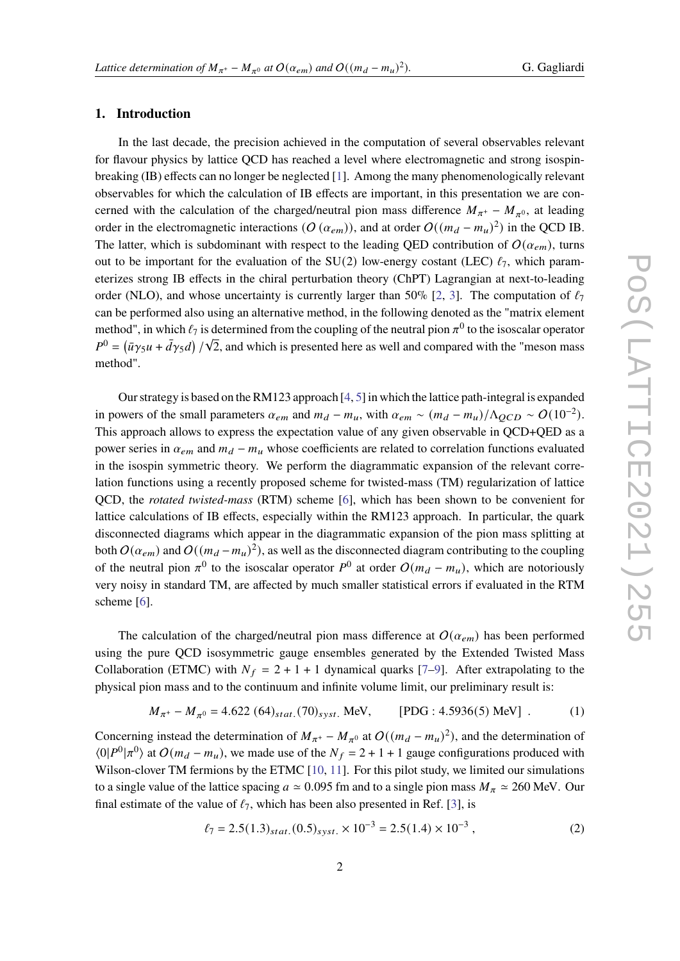## **1. Introduction**

In the last decade, the precision achieved in the computation of several observables relevant for flavour physics by lattice QCD has reached a level where electromagnetic and strong isospinbreaking (IB) effects can no longer be neglected [\[1\]](#page-10-0). Among the many phenomenologically relevant observables for which the calculation of IB effects are important, in this presentation we are concerned with the calculation of the charged/neutral pion mass difference  $M_{\pi^+} - M_{\pi^0}$ , at leading order in the electromagnetic interactions  $(O(\alpha_{em}))$ , and at order  $O((m_d - m_u)^2)$  in the QCD IB. The latter, which is subdominant with respect to the leading QED contribution of  $O(\alpha_{em})$ , turns out to be important for the evaluation of the SU(2) low-energy costant (LEC)  $\ell_7$ , which parameterizes strong IB effects in the chiral perturbation theory (ChPT) Lagrangian at next-to-leading order (NLO), and whose uncertainty is currently larger than 50% [\[2,](#page-10-1) [3\]](#page-10-2). The computation of  $\ell_7$ can be performed also using an alternative method, in the following denoted as the "matrix element method", in which  $\ell_7$  is determined from the coupling of the neutral pion  $\pi^0$  to the isoscalar operator  $P^0 = (\bar{u}\gamma_5 u + \bar{d}\gamma_5 d) / \sqrt{2}$ , and which is presented here as well and compared with the "meson mass method".

Our strategy is based on the RM123 approach [\[4,](#page-10-3) [5\]](#page-10-4) in which the lattice path-integral is expanded in powers of the small parameters  $\alpha_{em}$  and  $m_d - m_u$ , with  $\alpha_{em} \sim (m_d - m_u)/\Lambda_{QCD} \sim O(10^{-2})$ . This approach allows to express the expectation value of any given observable in QCD+QED as a power series in  $\alpha_{em}$  and  $m_d - m_u$  whose coefficients are related to correlation functions evaluated in the isospin symmetric theory. We perform the diagrammatic expansion of the relevant correlation functions using a recently proposed scheme for twisted-mass (TM) regularization of lattice QCD, the *rotated twisted-mass* (RTM) scheme [\[6\]](#page-10-5), which has been shown to be convenient for lattice calculations of IB effects, especially within the RM123 approach. In particular, the quark disconnected diagrams which appear in the diagrammatic expansion of the pion mass splitting at both  $O(\alpha_{em})$  and  $O((m_d - m_u)^2)$ , as well as the disconnected diagram contributing to the coupling of the neutral pion  $\pi^0$  to the isoscalar operator  $P^0$  at order  $O(m_d - m_u)$ , which are notoriously very noisy in standard TM, are affected by much smaller statistical errors if evaluated in the RTM scheme [\[6\]](#page-10-5).

The calculation of the charged/neutral pion mass difference at  $O(\alpha_{em})$  has been performed using the pure QCD isosymmetric gauge ensembles generated by the Extended Twisted Mass Collaboration (ETMC) with  $N_f = 2 + 1 + 1$  dynamical quarks [\[7](#page-10-6)[–9\]](#page-10-7). After extrapolating to the physical pion mass and to the continuum and infinite volume limit, our preliminary result is:

$$
M_{\pi^+} - M_{\pi^0} = 4.622 \ (64)_{stat.} (70)_{syst.} \text{ MeV}, \qquad \text{[PDG : 4.5936(5) MeV]} \tag{1}
$$

Concerning instead the determination of  $M_{\pi^+} - M_{\pi^0}$  at  $O((m_d - m_u)^2)$ , and the determination of  $\langle 0|P^0|\pi^0\rangle$  at  $O(m_d - m_u)$ , we made use of the  $N_f = 2 + 1 + 1$  gauge configurations produced with Wilson-clover TM fermions by the ETMC [\[10,](#page-10-8) [11\]](#page-10-9). For this pilot study, we limited our simulations to a single value of the lattice spacing  $a \approx 0.095$  fm and to a single pion mass  $M_\pi \approx 260$  MeV. Our final estimate of the value of  $\ell_7$ , which has been also presented in Ref. [\[3\]](#page-10-2), is

<span id="page-1-1"></span><span id="page-1-0"></span>
$$
\ell_7 = 2.5(1.3)_{stat.}(0.5)_{syst.} \times 10^{-3} = 2.5(1.4) \times 10^{-3},\tag{2}
$$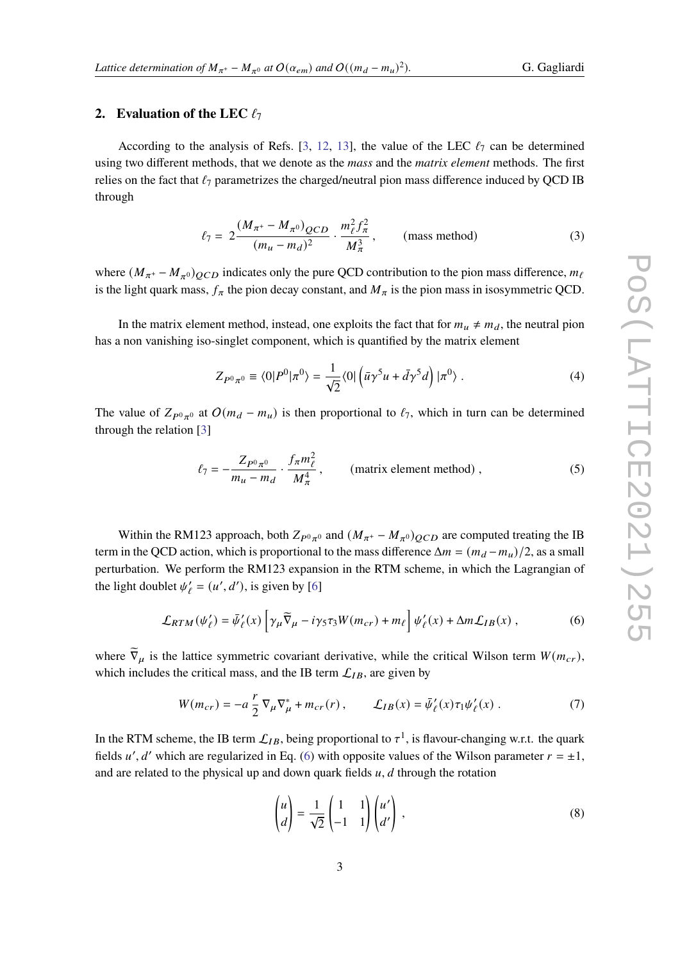# **2.** Evaluation of the LEC  $\ell_7$

According to the analysis of Refs. [\[3,](#page-10-2) [12,](#page-10-10) [13\]](#page-10-11), the value of the LEC  $\ell_7$  can be determined using two different methods, that we denote as the *mass* and the *matrix element* methods. The first relies on the fact that  $\ell_7$  parametrizes the charged/neutral pion mass difference induced by QCD IB through

<span id="page-2-1"></span>
$$
\ell_7 = 2 \frac{(M_{\pi^+} - M_{\pi^0})_{QCD}}{(m_u - m_d)^2} \cdot \frac{m_\ell^2 f_\pi^2}{M_\pi^3}, \quad \text{(mass method)} \tag{3}
$$

where  $(M_{\pi^+} - M_{\pi^0})_{QCD}$  indicates only the pure QCD contribution to the pion mass difference,  $m_\ell$ is the light quark mass,  $f_{\pi}$  the pion decay constant, and  $M_{\pi}$  is the pion mass in isosymmetric QCD.

In the matrix element method, instead, one exploits the fact that for  $m_u \neq m_d$ , the neutral pion has a non vanishing iso-singlet component, which is quantified by the matrix element

<span id="page-2-2"></span>
$$
Z_{P^0\pi^0} \equiv \langle 0|P^0|\pi^0\rangle = \frac{1}{\sqrt{2}} \langle 0| \left(\bar{u}\gamma^5 u + \bar{d}\gamma^5 d\right) |\pi^0\rangle. \tag{4}
$$

The value of  $Z_{P^0\pi^0}$  at  $O(m_d - m_u)$  is then proportional to  $\ell_7$ , which in turn can be determined through the relation [\[3\]](#page-10-2)

$$
\ell_7 = -\frac{Z_{P^0 \pi^0}}{m_u - m_d} \cdot \frac{f_\pi m_\ell^2}{M_\pi^4}, \qquad \text{(matrix element method)}, \qquad (5)
$$

Within the RM123 approach, both  $Z_{P^0\pi^0}$  and  $(M_{\pi^+} - M_{\pi^0})_{QCD}$  are computed treating the IB term in the QCD action, which is proportional to the mass difference  $\Delta m = (m_d - m_u)/2$ , as a small perturbation. We perform the RM123 expansion in the RTM scheme, in which the Lagrangian of the light doublet  $\psi'_{\ell} = (u', d')$ , is given by [\[6\]](#page-10-5)

$$
\mathcal{L}_{RTM}(\psi'_{\ell}) = \bar{\psi}'_{\ell}(x) \left[ \gamma_{\mu} \tilde{\nabla}_{\mu} - i \gamma_5 \tau_3 W(m_{cr}) + m_{\ell} \right] \psi'_{\ell}(x) + \Delta m \mathcal{L}_{IB}(x) , \qquad (6)
$$

where  $\tilde{\nabla}_{\mu}$  is the lattice symmetric covariant derivative, while the critical Wilson term  $W(m_{cr})$ , which includes the critical mass, and the IB term  $\mathcal{L}_{IB}$ , are given by

$$
W(m_{cr}) = -a\,\frac{r}{2}\,\nabla_{\mu}\nabla_{\mu}^{*} + m_{cr}(r)\,, \qquad \mathcal{L}_{IB}(x) = \bar{\psi}'_{\ell}(x)\,\tau_{1}\psi'_{\ell}(x)\,.
$$
 (7)

In the RTM scheme, the IB term  $\mathcal{L}_{IB}$ , being proportional to  $\tau^1$ , is flavour-changing w.r.t. the quark fields u', d' which are regularized in Eq. [\(6\)](#page-2-0) with opposite values of the Wilson parameter  $r = \pm 1$ , and are related to the physical up and down quark fields  $u, d$  through the rotation

<span id="page-2-0"></span>
$$
\begin{pmatrix} u \\ d \end{pmatrix} = \frac{1}{\sqrt{2}} \begin{pmatrix} 1 & 1 \\ -1 & 1 \end{pmatrix} \begin{pmatrix} u' \\ d' \end{pmatrix} , \tag{8}
$$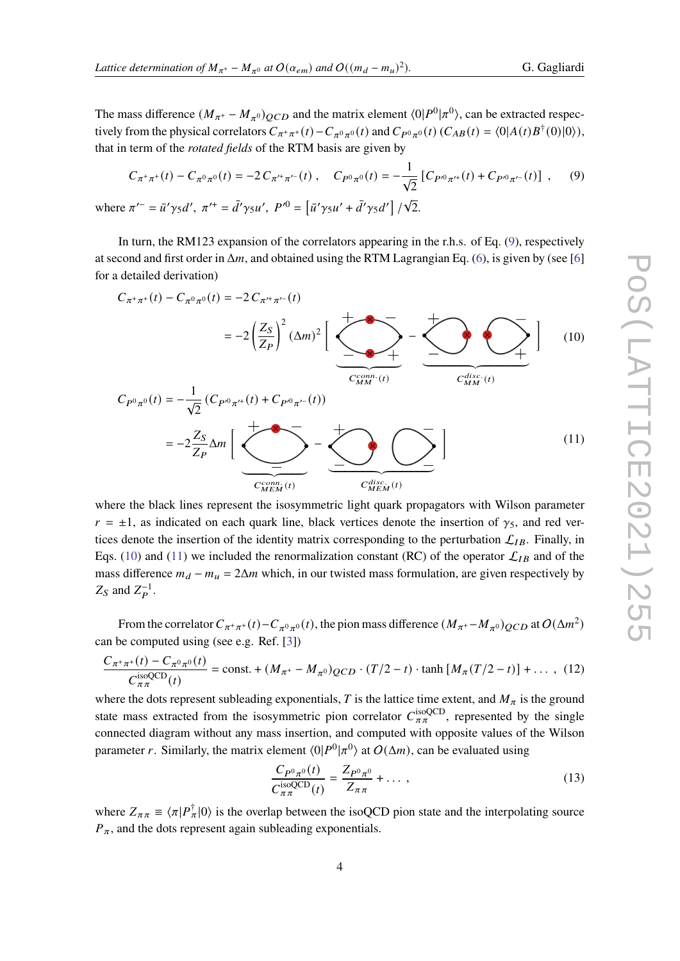The mass difference  $(M_{\pi^+} - M_{\pi^0})_{QCD}$  and the matrix element  $\langle 0|P^0|\pi^0\rangle$ , can be extracted respectively from the physical correlators  $C_{\pi^+\pi^+}(t) - C_{\pi^0\pi^0}(t)$  and  $C_{P^0\pi^0}(t)$   $(C_{AB}(t) = \langle 0|A(t)B^{\dagger}(0)|0\rangle)$ , that in term of the *rotated fields* of the RTM basis are given by

<span id="page-3-0"></span>
$$
C_{\pi^+\pi^+}(t) - C_{\pi^0\pi^0}(t) = -2 C_{\pi'^+\pi'^-}(t) , \quad C_{P^0\pi^0}(t) = -\frac{1}{\sqrt{2}} \left[ C_{P^0\pi'^+}(t) + C_{P^0\pi'^-}(t) \right] , \quad (9)
$$
  
where  $\pi'^- = \bar{u}'\gamma_5 d', \ \pi'^+ = \bar{d'}\gamma_5 u', \ P'^0 = \left[ \bar{u'}\gamma_5 u' + \bar{d'}\gamma_5 d' \right] / \sqrt{2}.$ 

In turn, the RM123 expansion of the correlators appearing in the r.h.s. of Eq. [\(9\)](#page-3-0), respectively at second and first order in  $\Delta m$ , and obtained using the RTM Lagrangian Eq. [\(6\)](#page-2-0), is given by (see [\[6\]](#page-10-5) for a detailed derivation)

<span id="page-3-1"></span>
$$
C_{\pi^{+}\pi^{+}}(t) - C_{\pi^{0}\pi^{0}}(t) = -2 C_{\pi^{+}\pi^{-}}(t)
$$
\n
$$
= -2 \left(\frac{Z_{S}}{Z_{P}}\right)^{2} (\Delta m)^{2} \left[\underbrace{\sum_{\substack{C_{M}^{conn.}(t) \\ C_{M}^{non.}(t)}} - \sum_{\substack{C_{M}^{disc.}(t) \\ C_{M}^{disc.}(t)}} \cdots \sum_{\substack{C_{M}^{disc.}(t) \\ C_{M}^{disc.}(t)}} \right] (10)
$$
\n
$$
= -2 \frac{Z_{S}}{Z_{P}} \Delta m \left[\underbrace{\sum_{\substack{C_{M}^{conn.}(t) \\ C_{M}^{disc.}(t)}} - \sum_{\substack{C_{M}^{disc.}(t) \\ C_{M}^{disc.}(t)}} \cdots \sum_{\substack{C_{M}^{disc.}(t) \\ C_{M}^{disc.}(t)}} \right] (11)
$$

where the black lines represent the isosymmetric light quark propagators with Wilson parameter  $r = \pm 1$ , as indicated on each quark line, black vertices denote the insertion of  $\gamma_5$ , and red vertices denote the insertion of the identity matrix corresponding to the perturbation  $\mathcal{L}_{IB}$ . Finally, in Eqs. [\(10\)](#page-3-1) and [\(11\)](#page-3-2) we included the renormalization constant (RC) of the operator  $\mathcal{L}_{IB}$  and of the mass difference  $m_d - m_u = 2\Delta m$  which, in our twisted mass formulation, are given respectively by  $Z_S$  and  $Z_P^{-1}$ .

From the correlator  $C_{\pi^+\pi^+}(t) - C_{\pi^0\pi^0}(t)$ , the pion mass difference  $(M_{\pi^+} - M_{\pi^0})_{QCD}$  at  $O(\Delta m^2)$ can be computed using (see e.g. Ref. [\[3\]](#page-10-2))

$$
\frac{C_{\pi^+\pi^+}(t) - C_{\pi^0\pi^0}(t)}{C_{\pi\pi}^{\text{isoQCD}}(t)} = \text{const.} + (M_{\pi^+} - M_{\pi^0})_{QCD} \cdot (T/2 - t) \cdot \tanh\left[M_{\pi}(T/2 - t)\right] + \dots \,, (12)
$$

where the dots represent subleading exponentials, T is the lattice time extent, and  $M_{\pi}$  is the ground state mass extracted from the isosymmetric pion correlator  $C_{\pi\pi}^{\text{isoQCD}}$ , represented by the single connected diagram without any mass insertion, and computed with opposite values of the Wilson parameter r. Similarly, the matrix element  $\langle 0|P^0|\pi^0\rangle$  at  $O(\Delta m)$ , can be evaluated using

<span id="page-3-2"></span>
$$
\frac{C_{P^0\pi^0}(t)}{C_{\pi\pi}^{\text{isoQCD}}(t)} = \frac{Z_{P^0\pi^0}}{Z_{\pi\pi}} + \dots \,,\tag{13}
$$

where  $Z_{\pi\pi} \equiv \langle \pi | P_{\pi}^{\dagger} | 0 \rangle$  is the overlap between the isoQCD pion state and the interpolating source  $P_{\pi}$ , and the dots represent again subleading exponentials.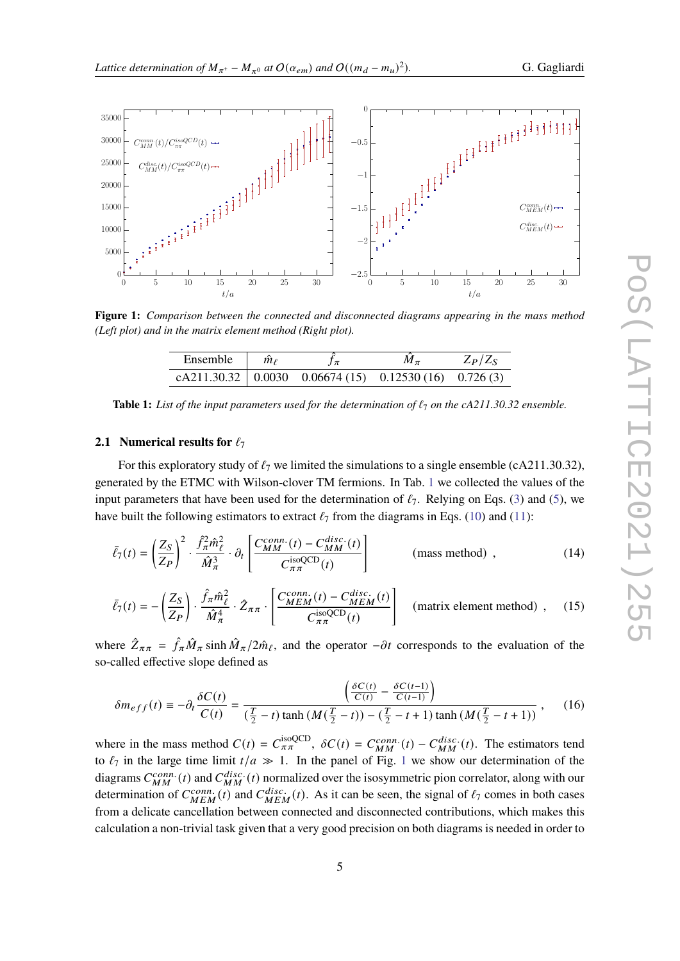

<span id="page-4-1"></span>

<span id="page-4-0"></span>**Figure 1:** *Comparison between the connected and disconnected diagrams appearing in the mass method (Left plot) and in the matrix element method (Right plot).*

<span id="page-4-2"></span>

| Ensemble | $\hat{m}_\ell$ | Jπ                                                          | $\overline{M}_{\pi}$ | $Z_P/Z_S$ |
|----------|----------------|-------------------------------------------------------------|----------------------|-----------|
|          |                | cA211.30.32   $0.0030$ $0.06674(15)$ $0.12530(16)$ 0.726(3) |                      |           |

**Table 1:** List of the input parameters used for the determination of  $\ell_7$  on the cA211.30.32 ensemble.

## **2.1 Numerical results for**  $\ell_7$

For this exploratory study of  $\ell_7$  we limited the simulations to a single ensemble (cA211.30.32), generated by the ETMC with Wilson-clover TM fermions. In Tab. [1](#page-4-0) we collected the values of the input parameters that have been used for the determination of  $\ell_7$ . Relying on Eqs. [\(3\)](#page-2-1) and [\(5\)](#page-2-2), we have built the following estimators to extract  $\ell_7$  from the diagrams in Eqs. [\(10\)](#page-3-1) and [\(11\)](#page-3-2):

$$
\bar{\ell}_{7}(t) = \left(\frac{Z_{S}}{Z_{P}}\right)^{2} \cdot \frac{\hat{f}_{\pi}^{2} \hat{m}_{\ell}^{2}}{\hat{M}_{\pi}^{3}} \cdot \partial_{t} \left[\frac{C_{MM}^{conn.}(t) - C_{MM}^{disc.}(t)}{C_{\pi\pi}^{iso}(\tau)}\right]
$$
(mass method), (14)

<span id="page-4-3"></span>
$$
\bar{\ell}_{7}(t) = -\left(\frac{Z_{S}}{Z_{P}}\right) \cdot \frac{\hat{f}_{\pi} \hat{m}_{\ell}^{2}}{\hat{M}_{\pi}^{4}} \cdot \hat{Z}_{\pi\pi} \cdot \left[\frac{C_{MEM}^{conn.}(t) - C_{MEM}^{disc.}(t)}{C_{\pi\pi}^{isoQCD}(t)}\right] \quad \text{(matrix element method)}\tag{15}
$$

where  $\hat{Z}_{\pi\pi} = \hat{f}_{\pi} \hat{M}_{\pi} \sinh \hat{M}_{\pi}/2\hat{m}_{\ell}$ , and the operator  $-\partial t$  corresponds to the evaluation of the so-called effective slope defined as

<span id="page-4-4"></span>
$$
\delta m_{eff}(t) \equiv -\partial_t \frac{\delta C(t)}{C(t)} = \frac{\left(\frac{\delta C(t)}{C(t)} - \frac{\delta C(t-1)}{C(t-1)}\right)}{\left(\frac{T}{2} - t\right) \tanh\left(M\left(\frac{T}{2} - t\right)\right) - \left(\frac{T}{2} - t + 1\right) \tanh\left(M\left(\frac{T}{2} - t + 1\right)\right)},\tag{16}
$$

where in the mass method  $C(t) = C_{\pi\pi}^{isoQCD}$ ,  $\delta C(t) = C_{MM}^{conn.}(t) - C_{MM}^{disc.}(t)$ . The estimators tend to  $\ell_7$  in the large time limit  $t/a \gg 1$  $t/a \gg 1$ . In the panel of Fig. 1 we show our determination of the diagrams  $C_{MM}^{conn.}(t)$  and  $C_{MM}^{disc.}(t)$  normalized over the isosymmetric pion correlator, along with our determination of  $C_{MEM}^{conn.} (t)$  and  $C_{MEM}^{disc.} (t)$ . As it can be seen, the signal of  $\ell_7$  comes in both cases from a delicate cancellation between connected and disconnected contributions, which makes this calculation a non-trivial task given that a very good precision on both diagrams is needed in order to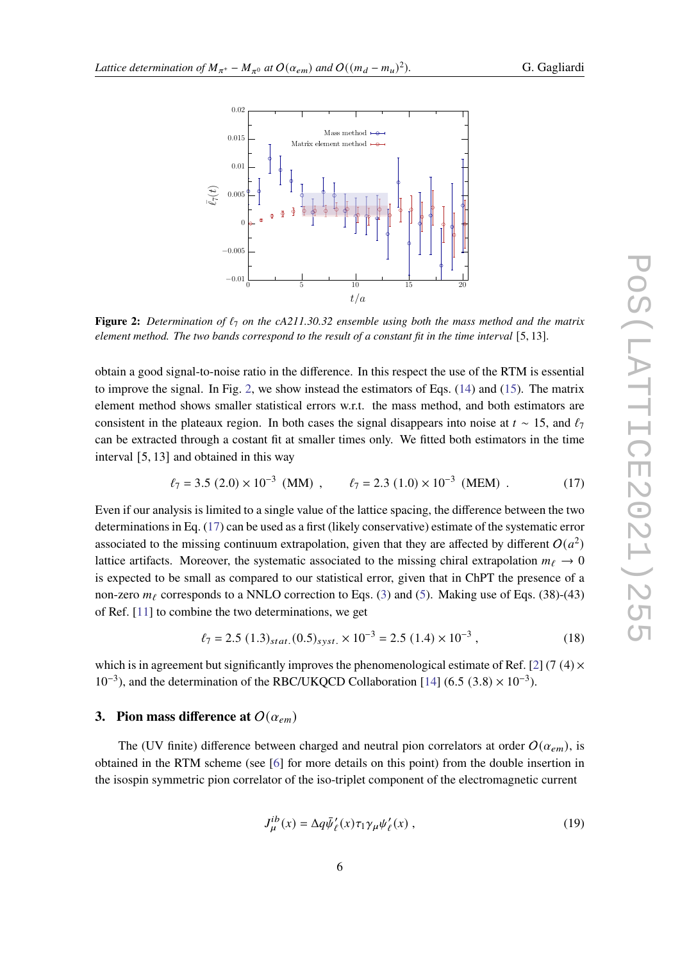<span id="page-5-0"></span>

**Figure 2:** *Determination of*  $\ell_7$  *on the cA211.30.32 ensemble using both the mass method and the matrix element method. The two bands correspond to the result of a constant fit in the time interval* [5, 13]*.*

obtain a good signal-to-noise ratio in the difference. In this respect the use of the RTM is essential to improve the signal. In Fig. [2,](#page-5-0) we show instead the estimators of Eqs. [\(14\)](#page-4-2) and [\(15\)](#page-4-3). The matrix element method shows smaller statistical errors w.r.t. the mass method, and both estimators are consistent in the plateaux region. In both cases the signal disappears into noise at  $t \sim 15$ , and  $\ell_7$ can be extracted through a costant fit at smaller times only. We fitted both estimators in the time interval [5, 13] and obtained in this way

<span id="page-5-1"></span>
$$
\ell_7 = 3.5 (2.0) \times 10^{-3} (MM) , \qquad \ell_7 = 2.3 (1.0) \times 10^{-3} (MEM) . \tag{17}
$$

Even if our analysis is limited to a single value of the lattice spacing, the difference between the two determinations in Eq. [\(17\)](#page-5-1) can be used as a first (likely conservative) estimate of the systematic error associated to the missing continuum extrapolation, given that they are affected by different  $O(a^2)$ lattice artifacts. Moreover, the systematic associated to the missing chiral extrapolation  $m_\ell \to 0$ is expected to be small as compared to our statistical error, given that in ChPT the presence of a non-zero  $m_f$  corresponds to a NNLO correction to Eqs. [\(3\)](#page-2-1) and [\(5\)](#page-2-2). Making use of Eqs. (38)-(43) of Ref. [\[11\]](#page-10-9) to combine the two determinations, we get

$$
\ell_7 = 2.5 \ (1.3)_{stat.} (0.5)_{syst.} \times 10^{-3} = 2.5 \ (1.4) \times 10^{-3} \ , \tag{18}
$$

which is in agreement but significantly improves the phenomenological estimate of Ref. [\[2\]](#page-10-1) (7 (4)  $\times$  $10^{-3}$ ), and the determination of the RBC/UKQCD Collaboration [\[14\]](#page-11-0) (6.5 (3.8) ×  $10^{-3}$ ).

# **3. Pion mass difference at**  $O(\alpha_{em})$

The (UV finite) difference between charged and neutral pion correlators at order  $O(\alpha_{em})$ , is obtained in the RTM scheme (see [\[6\]](#page-10-5) for more details on this point) from the double insertion in the isospin symmetric pion correlator of the iso-triplet component of the electromagnetic current

$$
J_{\mu}^{ib}(x) = \Delta q \bar{\psi}_{\ell}'(x) \tau_1 \gamma_{\mu} \psi_{\ell}'(x) , \qquad (19)
$$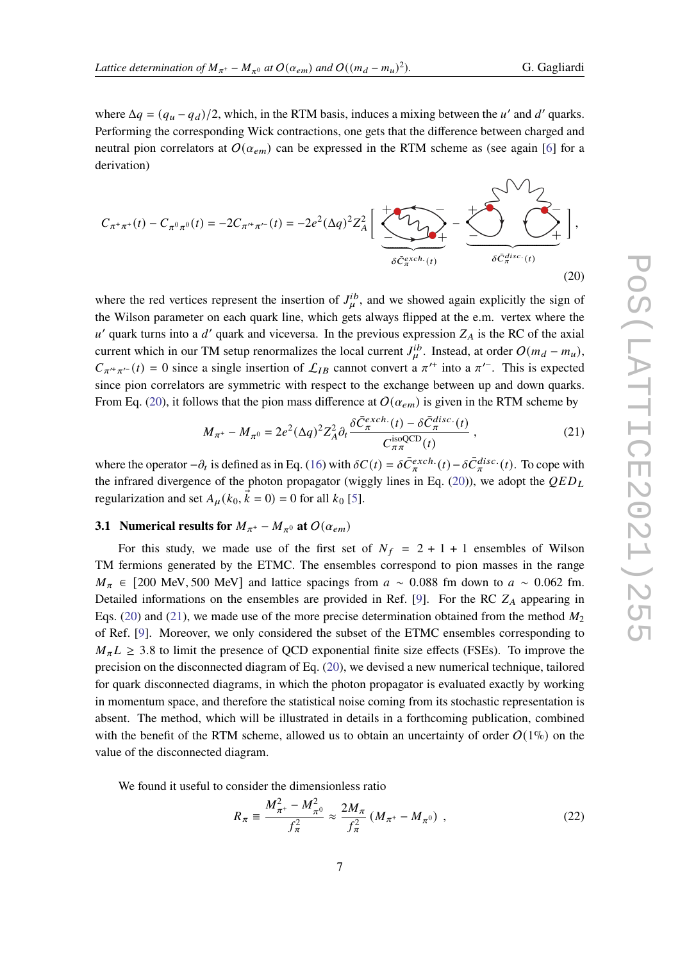where  $\Delta q = (q_u - q_d)/2$ , which, in the RTM basis, induces a mixing between the u' and d' quarks. Performing the corresponding Wick contractions, one gets that the difference between charged and neutral pion correlators at  $O(\alpha_{em})$  can be expressed in the RTM scheme as (see again [\[6\]](#page-10-5) for a derivation)



where the red vertices represent the insertion of  $J_{\mu}^{ib}$ , and we showed again explicitly the sign of the Wilson parameter on each quark line, which gets always flipped at the e.m. vertex where the  $u'$  quark turns into a d' quark and viceversa. In the previous expression  $Z_A$  is the RC of the axial current which in our TM setup renormalizes the local current  $J_{\mu}^{ib}$ . Instead, at order  $O(m_d - m_u)$ ,  $C_{\pi^{\prime+}\pi^{\prime-}}(t) = 0$  since a single insertion of  $\mathcal{L}_{IB}$  cannot convert a  $\pi^{\prime+}$  into a  $\pi^{\prime-}$ . This is expected since pion correlators are symmetric with respect to the exchange between up and down quarks. From Eq. [\(20\)](#page-6-0), it follows that the pion mass difference at  $O(\alpha_{em})$  is given in the RTM scheme by

<span id="page-6-1"></span><span id="page-6-0"></span>
$$
M_{\pi^+} - M_{\pi^0} = 2e^2 (\Delta q)^2 Z_A^2 \partial_t \frac{\delta \bar{C}_{\pi}^{exch.}(t) - \delta \bar{C}_{\pi}^{disc.}(t)}{C_{\pi\pi}^{isoQCD}(t)},
$$
(21)

where the operator  $-\partial_t$  is defined as in Eq. [\(16\)](#page-4-4) with  $\delta C(t) = \delta \bar{C}_{\pi}^{exch.}(t) - \delta \bar{C}_{\pi}^{disc.}(t)$ . To cope with the infrared divergence of the photon propagator (wiggly lines in Eq. [\(20\)](#page-6-0)), we adopt the  $QED<sub>L</sub>$ regularization and set  $A_{\mu}(k_0, \vec{k} = 0) = 0$  for all  $k_0$  [\[5\]](#page-10-4).

# **3.1 Numerical results for**  $M_{\pi^+} - M_{\pi^0}$  at  $O(\alpha_{em})$

For this study, we made use of the first set of  $N_f = 2 + 1 + 1$  ensembles of Wilson TM fermions generated by the ETMC. The ensembles correspond to pion masses in the range  $M_{\pi} \in [200 \text{ MeV}, 500 \text{ MeV}]$  and lattice spacings from  $a \sim 0.088$  fm down to  $a \sim 0.062$  fm. Detailed informations on the ensembles are provided in Ref. [\[9\]](#page-10-7). For the RC  $Z_A$  appearing in Eqs. [\(20\)](#page-6-0) and [\(21\)](#page-6-1), we made use of the more precise determination obtained from the method  $M_2$ of Ref. [\[9\]](#page-10-7). Moreover, we only considered the subset of the ETMC ensembles corresponding to  $M_{\pi}L \geq 3.8$  to limit the presence of QCD exponential finite size effects (FSEs). To improve the precision on the disconnected diagram of Eq. [\(20\)](#page-6-0), we devised a new numerical technique, tailored for quark disconnected diagrams, in which the photon propagator is evaluated exactly by working in momentum space, and therefore the statistical noise coming from its stochastic representation is absent. The method, which will be illustrated in details in a forthcoming publication, combined with the benefit of the RTM scheme, allowed us to obtain an uncertainty of order  $O(1\%)$  on the value of the disconnected diagram.

We found it useful to consider the dimensionless ratio

$$
R_{\pi} \equiv \frac{M_{\pi^+}^2 - M_{\pi^0}^2}{f_{\pi}^2} \approx \frac{2M_{\pi}}{f_{\pi}^2} \left(M_{\pi^+} - M_{\pi^0}\right) \,, \tag{22}
$$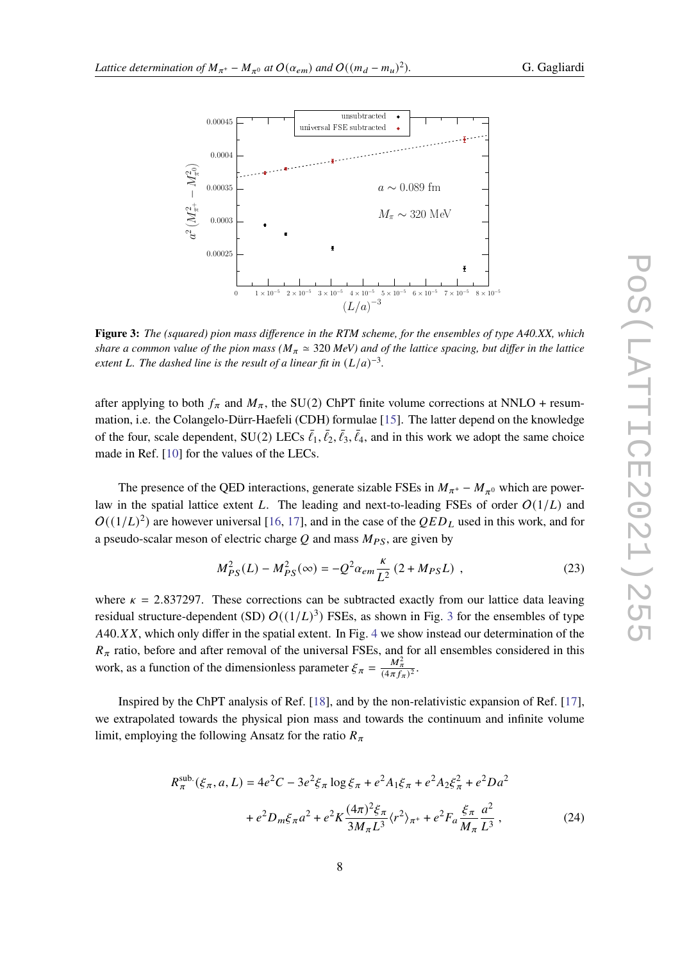<span id="page-7-0"></span>

**Figure 3:** *The (squared) pion mass difference in the RTM scheme, for the ensembles of type A40.XX, which share a common value of the pion mass (* $M_\pi \approx 320$  *MeV) and of the lattice spacing, but differ in the lattice* extent L. The dashed line is the result of a linear fit in  $(L/a)^{-3}$ .

after applying to both  $f_{\pi}$  and  $M_{\pi}$ , the SU(2) ChPT finite volume corrections at NNLO + resummation, i.e. the Colangelo-Dürr-Haefeli (CDH) formulae [\[15\]](#page-11-1). The latter depend on the knowledge of the four, scale dependent, SU(2) LECs  $\bar{\ell}_1, \bar{\ell}_2, \bar{\ell}_3, \bar{\ell}_4$ , and in this work we adopt the same choice made in Ref. [\[10\]](#page-10-8) for the values of the LECs.

The presence of the QED interactions, generate sizable FSEs in  $M_{\pi^+} - M_{\pi^0}$  which are powerlaw in the spatial lattice extent L. The leading and next-to-leading FSEs of order  $O(1/L)$  and  $O((1/L)^2)$  are however universal [\[16,](#page-11-2) [17\]](#page-11-3), and in the case of the  $QED<sub>L</sub>$  used in this work, and for a pseudo-scalar meson of electric charge  $Q$  and mass  $M_{PS}$ , are given by

<span id="page-7-1"></span>
$$
M_{PS}^2(L) - M_{PS}^2(\infty) = -Q^2 \alpha_{em} \frac{\kappa}{L^2} \left( 2 + M_{PS} L \right) , \qquad (23)
$$

where  $\kappa = 2.837297$ . These corrections can be subtracted exactly from our lattice data leaving residual structure-dependent (SD)  $O((1/L)^3)$  $O((1/L)^3)$  $O((1/L)^3)$  FSEs, as shown in Fig. 3 for the ensembles of type  $A40. XX$  $A40. XX$  $A40. XX$ , which only differ in the spatial extent. In Fig. 4 we show instead our determination of the  $R_{\pi}$  ratio, before and after removal of the universal FSEs, and for all ensembles considered in this work, as a function of the dimensionless parameter  $\xi_{\pi} = \frac{M_{\pi}^2}{(4\pi f_{\pi})^2}$ .

Inspired by the ChPT analysis of Ref. [\[18\]](#page-11-4), and by the non-relativistic expansion of Ref. [\[17\]](#page-11-3), we extrapolated towards the physical pion mass and towards the continuum and infinite volume limit, employing the following Ansatz for the ratio  $R_{\pi}$ 

<span id="page-7-2"></span>
$$
R_{\pi}^{\text{sub.}}(\xi_{\pi}, a, L) = 4e^{2}C - 3e^{2}\xi_{\pi} \log \xi_{\pi} + e^{2}A_{1}\xi_{\pi} + e^{2}A_{2}\xi_{\pi}^{2} + e^{2}Da^{2}
$$

$$
+ e^{2}D_{m}\xi_{\pi}a^{2} + e^{2}K\frac{(4\pi)^{2}\xi_{\pi}}{3M_{\pi}L^{3}}\langle r^{2}\rangle_{\pi^{+}} + e^{2}F_{a}\frac{\xi_{\pi}}{M_{\pi}}\frac{a^{2}}{L^{3}},
$$
(24)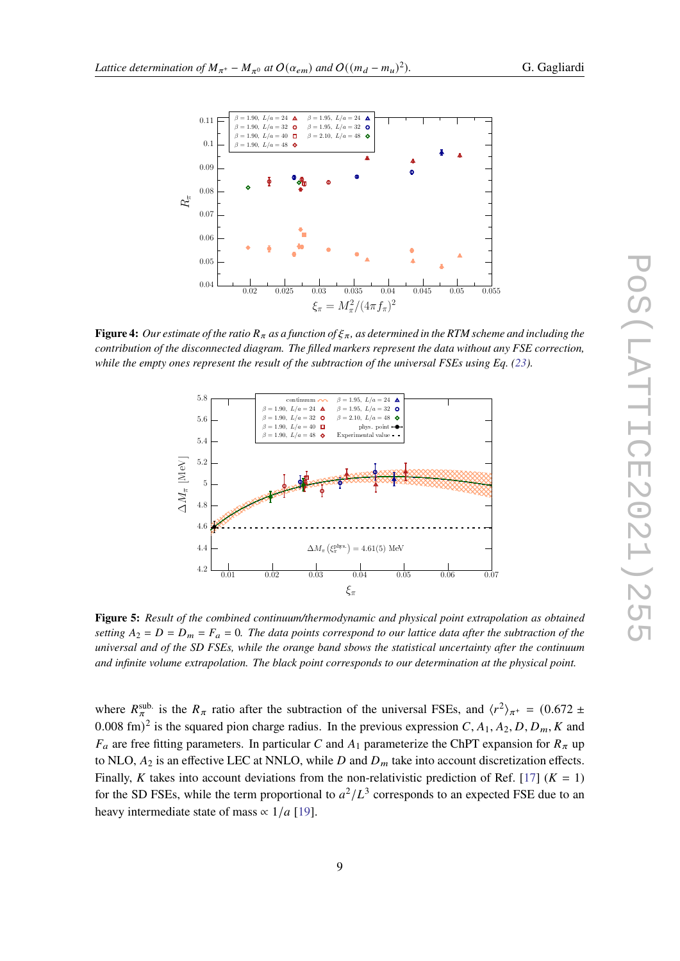<span id="page-8-0"></span>

<span id="page-8-1"></span>**Figure 4:** Our estimate of the ratio  $R_\pi$  as a function of  $\xi_\pi$ , as determined in the RTM scheme and including the *contribution of the disconnected diagram. The filled markers represent the data without any FSE correction, while the empty ones represent the result of the subtraction of the universal FSEs using Eq. [\(23\)](#page-7-1).*



**Figure 5:** *Result of the combined continuum/thermodynamic and physical point extrapolation as obtained* setting  $A_2 = D = D_m = F_a = 0$ . The data points correspond to our lattice data after the subtraction of the *universal and of the SD FSEs, while the orange band sbows the statistical uncertainty after the continuum and infinite volume extrapolation. The black point corresponds to our determination at the physical point.*

where  $R_{\pi}^{\text{sub.}}$  is the  $R_{\pi}$  ratio after the subtraction of the universal FSEs, and  $\langle r^2 \rangle_{\pi^+} = (0.672 \pm 1.000)$ 0.008 fm)<sup>2</sup> is the squared pion charge radius. In the previous expression C,  $A_1$ ,  $A_2$ , D,  $D_m$ , K and  $F_a$  are free fitting parameters. In particular C and  $A_1$  parameterize the ChPT expansion for  $R_\pi$  up to NLO,  $A_2$  is an effective LEC at NNLO, while  $D$  and  $D_m$  take into account discretization effects. Finally, K takes into account deviations from the non-relativistic prediction of Ref. [\[17\]](#page-11-3) ( $K = 1$ ) for the SD FSEs, while the term proportional to  $a^2/L^3$  corresponds to an expected FSE due to an heavy intermediate state of mass  $\propto 1/a$  [\[19\]](#page-11-5).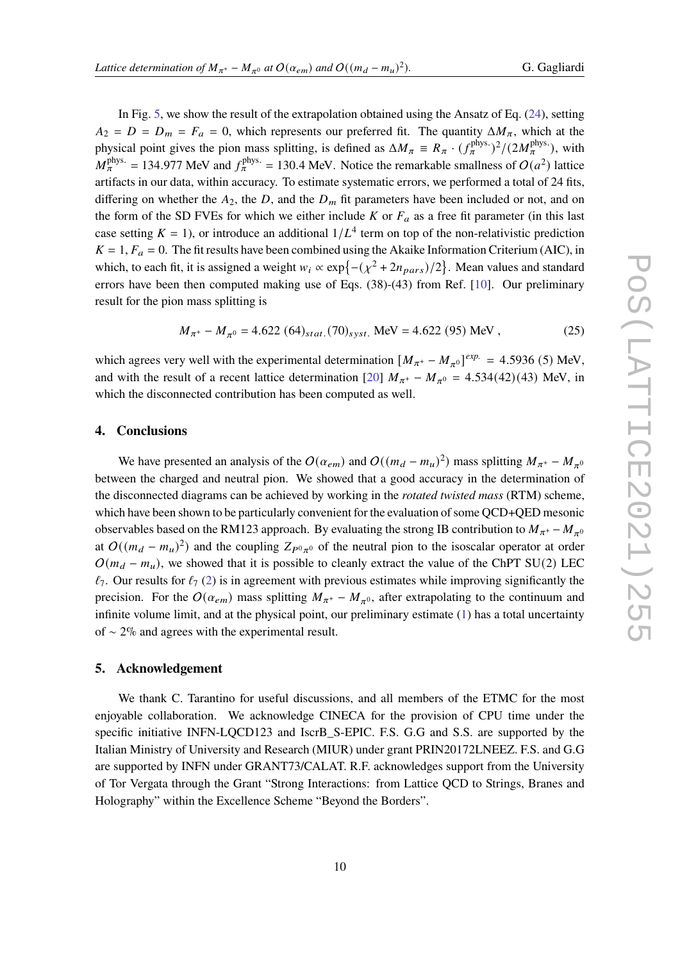In Fig. [5,](#page-8-1) we show the result of the extrapolation obtained using the Ansatz of Eq. [\(24\)](#page-7-2), setting  $A_2 = D = D_m = F_a = 0$ , which represents our preferred fit. The quantity  $\Delta M_\pi$ , which at the physical point gives the pion mass splitting, is defined as  $\Delta M_{\pi} \equiv R_{\pi} \cdot (f_{\pi}^{\text{phys.}})^2/(2M_{\pi}^{\text{phys.}})$ , with  $M_{\pi}^{\text{phys.}} = 134.977 \text{ MeV}$  and  $f_{\pi}^{\text{phys.}} = 130.4 \text{ MeV}$ . Notice the remarkable smallness of  $O(a^2)$  lattice artifacts in our data, within accuracy. To estimate systematic errors, we performed a total of 24 fits, differing on whether the  $A_2$ , the D, and the  $D_m$  fit parameters have been included or not, and on the form of the SD FVEs for which we either include  $K$  or  $F_a$  as a free fit parameter (in this last case setting  $K = 1$ ), or introduce an additional  $1/L<sup>4</sup>$  term on top of the non-relativistic prediction  $K = 1, F_a = 0$ . The fit results have been combined using the Akaike Information Criterium (AIC), in which, to each fit, it is assigned a weight  $w_i \propto \exp\{-\left(\chi^2 + 2n_{pars}\right)/2\}$ . Mean values and standard errors have been then computed making use of Eqs. (38)-(43) from Ref. [\[10\]](#page-10-8). Our preliminary result for the pion mass splitting is

$$
M_{\pi^+} - M_{\pi^0} = 4.622 \ (64)_{stat.} (70)_{syst.} \text{ MeV} = 4.622 \ (95) \text{ MeV} \,, \tag{25}
$$

which agrees very well with the experimental determination  $[M_{\pi^+} - M_{\pi^0}]^{exp.} = 4.5936$  (5) MeV, and with the result of a recent lattice determination [\[20\]](#page-11-6)  $M_{\pi^+} - M_{\pi^0} = 4.534(42)(43)$  MeV, in which the disconnected contribution has been computed as well.

## **4. Conclusions**

We have presented an analysis of the  $O(\alpha_{em})$  and  $O((m_d - m_u)^2)$  mass splitting  $M_{\pi^+} - M_{\pi^0}$ between the charged and neutral pion. We showed that a good accuracy in the determination of the disconnected diagrams can be achieved by working in the *rotated twisted mass* (RTM) scheme, which have been shown to be particularly convenient for the evaluation of some QCD+QED mesonic observables based on the RM123 approach. By evaluating the strong IB contribution to  $M_{\pi^+}$  –  $M_{\pi^0}$ at  $O((m_d - m_u)^2)$  and the coupling  $Z_{P^0\pi^0}$  of the neutral pion to the isoscalar operator at order  $O(m_d - m_u)$ , we showed that it is possible to cleanly extract the value of the ChPT SU(2) LEC  $\ell_7$ . Our results for  $\ell_7$  [\(2\)](#page-1-0) is in agreement with previous estimates while improving significantly the precision. For the  $O(\alpha_{em})$  mass splitting  $M_{\pi^+} - M_{\pi^0}$ , after extrapolating to the continuum and infinite volume limit, and at the physical point, our preliminary estimate [\(1\)](#page-1-1) has a total uncertainty of ∼ 2% and agrees with the experimental result.

## **5. Acknowledgement**

We thank C. Tarantino for useful discussions, and all members of the ETMC for the most enjoyable collaboration. We acknowledge CINECA for the provision of CPU time under the specific initiative INFN-LOCD123 and IscrB S-EPIC. F.S. G.G and S.S. are supported by the Italian Ministry of University and Research (MIUR) under grant PRIN20172LNEEZ. F.S. and G.G are supported by INFN under GRANT73/CALAT. R.F. acknowledges support from the University of Tor Vergata through the Grant "Strong Interactions: from Lattice QCD to Strings, Branes and Holography" within the Excellence Scheme "Beyond the Borders".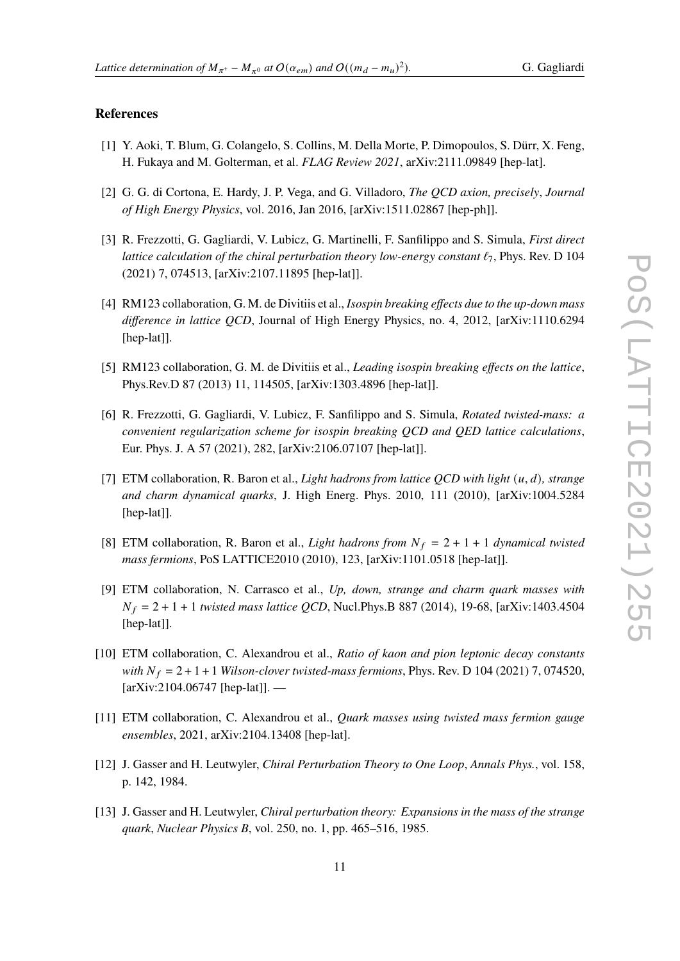#### )*.* G. Gagliardi

## **References**

- <span id="page-10-0"></span>[1] Y. Aoki, T. Blum, G. Colangelo, S. Collins, M. Della Morte, P. Dimopoulos, S. Dürr, X. Feng, H. Fukaya and M. Golterman, et al. *FLAG Review 2021*, arXiv:2111.09849 [hep-lat].
- <span id="page-10-1"></span>[2] G. G. di Cortona, E. Hardy, J. P. Vega, and G. Villadoro, *The QCD axion, precisely*, *Journal of High Energy Physics*, vol. 2016, Jan 2016, [arXiv:1511.02867 [hep-ph]].
- <span id="page-10-2"></span>[3] R. Frezzotti, G. Gagliardi, V. Lubicz, G. Martinelli, F. Sanfilippo and S. Simula, *First direct lattice calculation of the chiral perturbation theory low-energy constant*  $\ell_7$ , Phys. Rev. D 104 (2021) 7, 074513, [arXiv:2107.11895 [hep-lat]].
- <span id="page-10-3"></span>[4] RM123 collaboration, G. M. de Divitiis et al., *Isospin breaking effects due to the up-down mass difference in lattice QCD*, Journal of High Energy Physics, no. 4, 2012, [arXiv:1110.6294 [hep-lat]].
- <span id="page-10-4"></span>[5] RM123 collaboration, G. M. de Divitiis et al., *Leading isospin breaking effects on the lattice*, Phys.Rev.D 87 (2013) 11, 114505, [arXiv:1303.4896 [hep-lat]].
- <span id="page-10-5"></span>[6] R. Frezzotti, G. Gagliardi, V. Lubicz, F. Sanfilippo and S. Simula, *Rotated twisted-mass: a convenient regularization scheme for isospin breaking QCD and QED lattice calculations*, Eur. Phys. J. A 57 (2021), 282, [arXiv:2106.07107 [hep-lat]].
- <span id="page-10-6"></span>[7] ETM collaboration, R. Baron et al., *Light hadrons from lattice QCD with light*  $(u, d)$ , *strange and charm dynamical quarks*, J. High Energ. Phys. 2010, 111 (2010), [arXiv:1004.5284 [hep-lat]].
- [8] ETM collaboration, R. Baron et al., *Light hadrons from*  $N_f = 2 + 1 + 1$  *dynamical twisted mass fermions*, PoS LATTICE2010 (2010), 123, [arXiv:1101.0518 [hep-lat]].
- <span id="page-10-7"></span>[9] ETM collaboration, N. Carrasco et al., *Up, down, strange and charm quark masses with*  $N_f = 2 + 1 + 1$  *twisted mass lattice QCD*, Nucl.Phys.B 887 (2014), 19-68, [arXiv:1403.4504 [hep-lat]].
- <span id="page-10-8"></span>[10] ETM collaboration, C. Alexandrou et al., *Ratio of kaon and pion leptonic decay constants with*  $N_f = 2 + 1 + 1$  *Wilson-clover twisted-mass fermions*, *Phys. Rev. D* 104 (2021) 7, 074520,  $\arXiv:2104.06747$  [hep-lat]]. —
- <span id="page-10-9"></span>[11] ETM collaboration, C. Alexandrou et al., *Quark masses using twisted mass fermion gauge ensembles*, 2021, arXiv:2104.13408 [hep-lat].
- <span id="page-10-10"></span>[12] J. Gasser and H. Leutwyler, *Chiral Perturbation Theory to One Loop*, *Annals Phys.*, vol. 158, p. 142, 1984.
- <span id="page-10-11"></span>[13] J. Gasser and H. Leutwyler, *Chiral perturbation theory: Expansions in the mass of the strange quark*, *Nuclear Physics B*, vol. 250, no. 1, pp. 465–516, 1985.